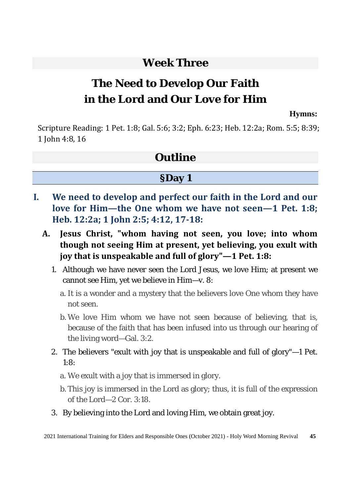### **Week Three**

# **The Need to Develop Our Faith in the Lord and Our Love for Him**

#### **Hymns:**

Scripture Reading: 1 Pet. 1:8; Gal. 5:6; 3:2; Eph. 6:23; Heb. 12:2a; Rom. 5:5; 8:39; 1 John 4:8, 16

#### **Outline**

#### **§Day 1**

- **I. We need to develop and perfect our faith in the Lord and our love for Him—the One whom we have not seen—1 Pet. 1:8; Heb. 12:2a; 1 John 2:5; 4:12, 17-18:** 
	- **A. Jesus Christ, "whom having not seen, you love; into whom though not seeing Him at present, yet believing, you exult with joy that is unspeakable and full of glory"—1 Pet. 1:8:** 
		- 1. Although we have never seen the Lord Jesus, we love Him; at present we cannot see Him, yet we believe in Him—v. 8:
			- a. It is a wonder and a mystery that the believers love One whom they have not seen.
			- b. We love Him whom we have not seen because of believing, that is, because of the faith that has been infused into us through our hearing of the living word—Gal. 3:2.
		- 2. The believers "exult with joy that is unspeakable and full of glory"—1 Pet. 1:8:
			- a. We exult with a joy that is immersed in glory.
			- b. This joy is immersed in the Lord as glory; thus, it is full of the expression of the Lord—2 Cor. 3:18.
		- 3. By believing into the Lord and loving Him, we obtain great joy.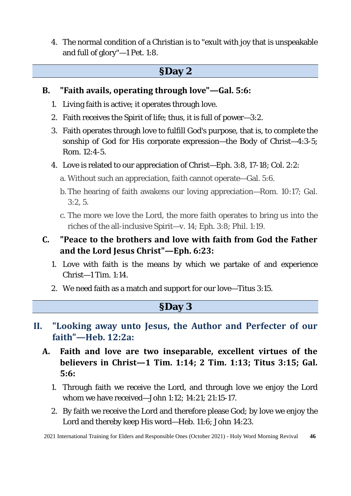4. The normal condition of a Christian is to "exult with joy that is unspeakable and full of glory"—1 Pet. 1:8.

#### **§Day 2**

#### **B. "Faith avails, operating through love"—Gal. 5:6:**

- 1. Living faith is active; it operates through love.
- 2. Faith receives the Spirit of life; thus, it is full of power—3:2.
- 3. Faith operates through love to fulfill God's purpose, that is, to complete the sonship of God for His corporate expression—the Body of Christ—4:3-5; Rom. 12:4-5.
- 4. Love is related to our appreciation of Christ—Eph. 3:8, 17-18; Col. 2:2:
	- a. Without such an appreciation, faith cannot operate—Gal. 5:6.
	- b. The hearing of faith awakens our loving appreciation—Rom. 10:17; Gal. 3:2, 5.
	- c. The more we love the Lord, the more faith operates to bring us into the riches of the all-inclusive Spirit—v. 14; Eph. 3:8; Phil. 1:19.
- **C. "Peace to the brothers and love with faith from God the Father and the Lord Jesus Christ"—Eph. 6:23:** 
	- 1. Love with faith is the means by which we partake of and experience Christ—1 Tim. 1:14.
	- 2. We need faith as a match and support for our love—Titus 3:15.

#### **§Day 3**

- **II. "Looking away unto Jesus, the Author and Perfecter of our faith"—Heb. 12:2a:**
	- **A. Faith and love are two inseparable, excellent virtues of the believers in Christ—1 Tim. 1:14; 2 Tim. 1:13; Titus 3:15; Gal. 5:6:** 
		- 1. Through faith we receive the Lord, and through love we enjoy the Lord whom we have received—John 1:12; 14:21; 21:15-17.
		- 2. By faith we receive the Lord and therefore please God; by love we enjoy the Lord and thereby keep His word—Heb. 11:6; John 14:23.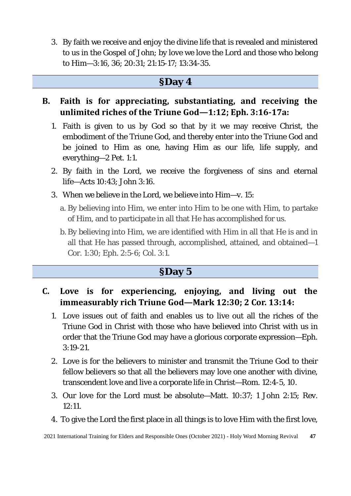3. By faith we receive and enjoy the divine life that is revealed and ministered to us in the Gospel of John; by love we love the Lord and those who belong to Him—3:16, 36; 20:31; 21:15-17; 13:34-35.

#### **§Day 4**

- **B. Faith is for appreciating, substantiating, and receiving the unlimited riches of the Triune God—1:12; Eph. 3:16-17a:** 
	- 1. Faith is given to us by God so that by it we may receive Christ, the embodiment of the Triune God, and thereby enter into the Triune God and be joined to Him as one, having Him as our life, life supply, and everything—2 Pet. 1:1.
	- 2. By faith in the Lord, we receive the forgiveness of sins and eternal life—Acts 10:43; John 3:16.
	- 3. When we believe in the Lord, we believe into Him—v. 15:
		- a. By believing into Him, we enter into Him to be one with Him, to partake of Him, and to participate in all that He has accomplished for us.
		- b. By believing into Him, we are identified with Him in all that He is and in all that He has passed through, accomplished, attained, and obtained—1 Cor. 1:30; Eph. 2:5-6; Col. 3:1.

#### **§Day 5**

- **C. Love is for experiencing, enjoying, and living out the immeasurably rich Triune God—Mark 12:30; 2 Cor. 13:14:** 
	- 1. Love issues out of faith and enables us to live out all the riches of the Triune God in Christ with those who have believed into Christ with us in order that the Triune God may have a glorious corporate expression—Eph. 3:19-21.
	- 2. Love is for the believers to minister and transmit the Triune God to their fellow believers so that all the believers may love one another with divine, transcendent love and live a corporate life in Christ—Rom. 12:4-5, 10.
	- 3. Our love for the Lord must be absolute—Matt. 10:37; 1 John 2:15; Rev. 12:11.
	- 4. To give the Lord the first place in all things is to love Him with the first love,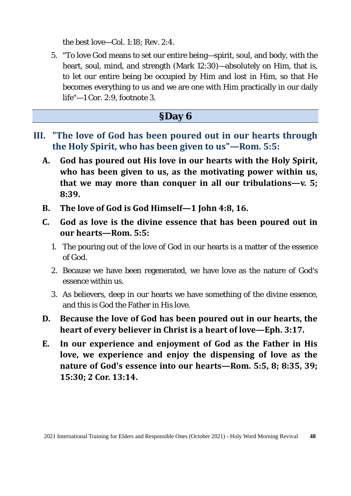the best love—Col. 1:18; Rev. 2:4.

5. "To love God means to set our entire being—spirit, soul, and body, with the heart, soul, mind, and strength (Mark 12:30)—absolutely on Him, that is, to let our entire being be occupied by Him and lost in Him, so that He becomes everything to us and we are one with Him practically in our daily life"—1 Cor. 2:9, footnote 3.

#### **§Day 6**

- **III. "The love of God has been poured out in our hearts through the Holy Spirit, who has been given to us"—Rom. 5:5:**
	- **A. God has poured out His love in our hearts with the Holy Spirit, who has been given to us, as the motivating power within us, that we may more than conquer in all our tribulations—v. 5; 8:39.**
	- **B. The love of God is God Himself—1 John 4:8, 16.**
	- **C. God as love is the divine essence that has been poured out in our hearts—Rom. 5:5:** 
		- 1. The pouring out of the love of God in our hearts is a matter of the essence of God.
		- 2. Because we have been regenerated, we have love as the nature of God's essence within us.
		- 3. As believers, deep in our hearts we have something of the divine essence, and this is God the Father in His love.
	- **D. Because the love of God has been poured out in our hearts, the heart of every believer in Christ is a heart of love—Eph. 3:17.**
	- **E. In our experience and enjoyment of God as the Father in His love, we experience and enjoy the dispensing of love as the nature of God's essence into our hearts—Rom. 5:5, 8; 8:35, 39; 15:30; 2 Cor. 13:14.**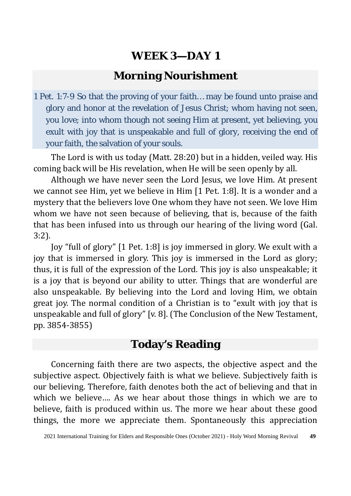### **Morning Nourishment**

1 Pet. 1:7-9 So that the proving of your faith… may be found unto praise and glory and honor at the revelation of Jesus Christ; whom having not seen, you love; into whom though not seeing Him at present, yet believing, you exult with joy that is unspeakable and full of glory, receiving the end of your faith, the salvation of your souls.

The Lord is with us today (Matt. 28:20) but in a hidden, veiled way. His coming back will be His revelation, when He will be seen openly by all.

Although we have never seen the Lord Jesus, we love Him. At present we cannot see Him, yet we believe in Him [1 Pet. 1:8]. It is a wonder and a mystery that the believers love One whom they have not seen. We love Him whom we have not seen because of believing, that is, because of the faith that has been infused into us through our hearing of the living word (Gal. 3:2).

Joy "full of glory" [1 Pet. 1:8] is joy immersed in glory. We exult with a joy that is immersed in glory. This joy is immersed in the Lord as glory; thus, it is full of the expression of the Lord. This joy is also unspeakable; it is a joy that is beyond our ability to utter. Things that are wonderful are also unspeakable. By believing into the Lord and loving Him, we obtain great joy. The normal condition of a Christian is to "exult with joy that is unspeakable and full of glory" [v. 8]. (The Conclusion of the New Testament, pp. 3854-3855)

#### **Today's Reading**

Concerning faith there are two aspects, the objective aspect and the subjective aspect. Objectively faith is what we believe. Subjectively faith is our believing. Therefore, faith denotes both the act of believing and that in which we believe…. As we hear about those things in which we are to believe, faith is produced within us. The more we hear about these good things, the more we appreciate them. Spontaneously this appreciation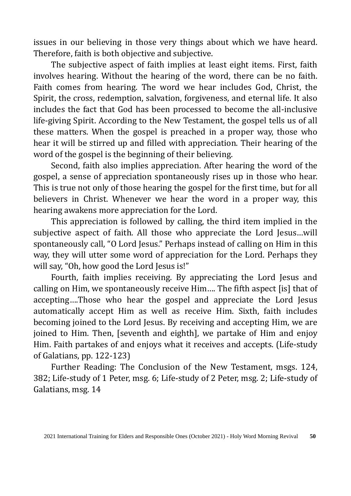issues in our believing in those very things about which we have heard. Therefore, faith is both objective and subjective.

The subjective aspect of faith implies at least eight items. First, faith involves hearing. Without the hearing of the word, there can be no faith. Faith comes from hearing. The word we hear includes God, Christ, the Spirit, the cross, redemption, salvation, forgiveness, and eternal life. It also includes the fact that God has been processed to become the all-inclusive life-giving Spirit. According to the New Testament, the gospel tells us of all these matters. When the gospel is preached in a proper way, those who hear it will be stirred up and filled with appreciation. Their hearing of the word of the gospel is the beginning of their believing.

Second, faith also implies appreciation. After hearing the word of the gospel, a sense of appreciation spontaneously rises up in those who hear. This is true not only of those hearing the gospel for the first time, but for all believers in Christ. Whenever we hear the word in a proper way, this hearing awakens more appreciation for the Lord.

This appreciation is followed by calling, the third item implied in the subjective aspect of faith. All those who appreciate the Lord Jesus…will spontaneously call, "O Lord Jesus." Perhaps instead of calling on Him in this way, they will utter some word of appreciation for the Lord. Perhaps they will say, "Oh, how good the Lord Jesus is!"

Fourth, faith implies receiving. By appreciating the Lord Jesus and calling on Him, we spontaneously receive Him…. The fifth aspect [is] that of accepting….Those who hear the gospel and appreciate the Lord Jesus automatically accept Him as well as receive Him. Sixth, faith includes becoming joined to the Lord Jesus. By receiving and accepting Him, we are joined to Him. Then, [seventh and eighth], we partake of Him and enjoy Him. Faith partakes of and enjoys what it receives and accepts. (Life-study of Galatians, pp. 122-123)

Further Reading: The Conclusion of the New Testament, msgs. 124, 382; Life-study of 1 Peter, msg. 6; Life-study of 2 Peter, msg. 2; Life-study of Galatians, msg. 14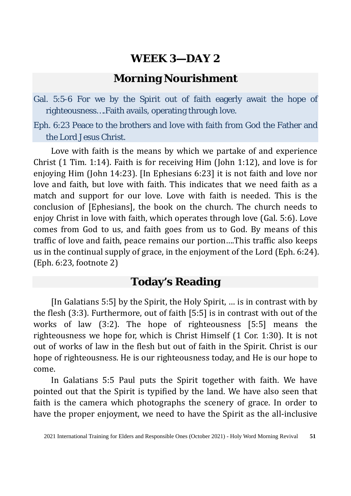#### **Morning Nourishment**

Gal. 5:5-6 For we by the Spirit out of faith eagerly await the hope of righteousness….Faith avails, operating through love.

Eph. 6:23 Peace to the brothers and love with faith from God the Father and the Lord Jesus Christ.

Love with faith is the means by which we partake of and experience Christ (1 Tim. 1:14). Faith is for receiving Him (John 1:12), and love is for enjoying Him (John 14:23). [In Ephesians 6:23] it is not faith and love nor love and faith, but love with faith. This indicates that we need faith as a match and support for our love. Love with faith is needed. This is the conclusion of [Ephesians], the book on the church. The church needs to enjoy Christ in love with faith, which operates through love (Gal. 5:6). Love comes from God to us, and faith goes from us to God. By means of this traffic of love and faith, peace remains our portion….This traffic also keeps us in the continual supply of grace, in the enjoyment of the Lord (Eph. 6:24). (Eph. 6:23, footnote 2)

#### **Today's Reading**

[In Galatians 5:5] by the Spirit, the Holy Spirit, … is in contrast with by the flesh (3:3). Furthermore, out of faith [5:5] is in contrast with out of the works of law (3:2). The hope of righteousness [5:5] means the righteousness we hope for, which is Christ Himself (1 Cor. 1:30). It is not out of works of law in the flesh but out of faith in the Spirit. Christ is our hope of righteousness. He is our righteousness today, and He is our hope to come.

In Galatians 5:5 Paul puts the Spirit together with faith. We have pointed out that the Spirit is typified by the land. We have also seen that faith is the camera which photographs the scenery of grace. In order to have the proper enjoyment, we need to have the Spirit as the all-inclusive

<sup>2021</sup> International Training for Elders and Responsible Ones (October 2021) - Holy Word Morning Revival **51**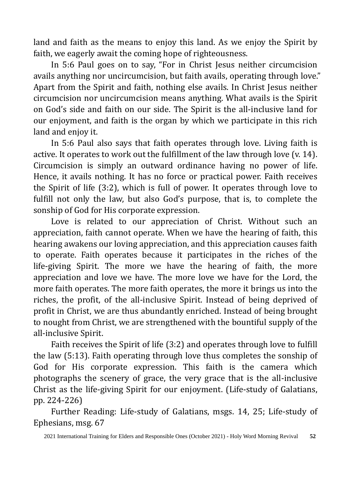land and faith as the means to enjoy this land. As we enjoy the Spirit by faith, we eagerly await the coming hope of righteousness.

In 5:6 Paul goes on to say, "For in Christ Jesus neither circumcision avails anything nor uncircumcision, but faith avails, operating through love." Apart from the Spirit and faith, nothing else avails. In Christ Jesus neither circumcision nor uncircumcision means anything. What avails is the Spirit on God's side and faith on our side. The Spirit is the all-inclusive land for our enjoyment, and faith is the organ by which we participate in this rich land and enjoy it.

In 5:6 Paul also says that faith operates through love. Living faith is active. It operates to work out the fulfillment of the law through love (v. 14). Circumcision is simply an outward ordinance having no power of life. Hence, it avails nothing. It has no force or practical power. Faith receives the Spirit of life (3:2), which is full of power. It operates through love to fulfill not only the law, but also God's purpose, that is, to complete the sonship of God for His corporate expression.

Love is related to our appreciation of Christ. Without such an appreciation, faith cannot operate. When we have the hearing of faith, this hearing awakens our loving appreciation, and this appreciation causes faith to operate. Faith operates because it participates in the riches of the life-giving Spirit. The more we have the hearing of faith, the more appreciation and love we have. The more love we have for the Lord, the more faith operates. The more faith operates, the more it brings us into the riches, the profit, of the all-inclusive Spirit. Instead of being deprived of profit in Christ, we are thus abundantly enriched. Instead of being brought to nought from Christ, we are strengthened with the bountiful supply of the all-inclusive Spirit.

Faith receives the Spirit of life (3:2) and operates through love to fulfill the law (5:13). Faith operating through love thus completes the sonship of God for His corporate expression. This faith is the camera which photographs the scenery of grace, the very grace that is the all-inclusive Christ as the life-giving Spirit for our enjoyment. (Life-study of Galatians, pp. 224-226)

Further Reading: Life-study of Galatians, msgs. 14, 25; Life-study of Ephesians, msg. 67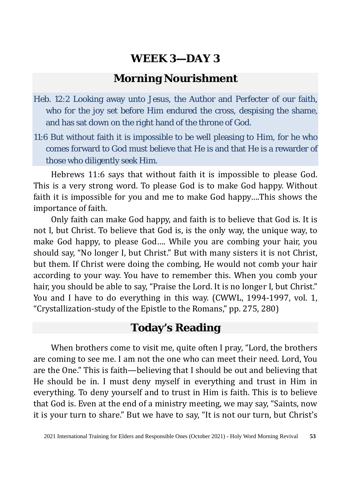### **Morning Nourishment**

- Heb. 12:2 Looking away unto Jesus, the Author and Perfecter of our faith, who for the joy set before Him endured the cross, despising the shame, and has sat down on the right hand of the throne of God.
- 11:6 But without faith it is impossible to be well pleasing to Him, for he who comes forward to God must believe that He is and that He is a rewarder of those who diligently seek Him.

Hebrews 11:6 says that without faith it is impossible to please God. This is a very strong word. To please God is to make God happy. Without faith it is impossible for you and me to make God happy….This shows the importance of faith.

Only faith can make God happy, and faith is to believe that God is. It is not I, but Christ. To believe that God is, is the only way, the unique way, to make God happy, to please God…. While you are combing your hair, you should say, "No longer I, but Christ." But with many sisters it is not Christ, but them. If Christ were doing the combing, He would not comb your hair according to your way. You have to remember this. When you comb your hair, you should be able to say, "Praise the Lord. It is no longer I, but Christ." You and I have to do everything in this way. (CWWL, 1994-1997, vol. 1, "Crystallization-study of the Epistle to the Romans," pp. 275, 280)

### **Today's Reading**

When brothers come to visit me, quite often I pray, "Lord, the brothers are coming to see me. I am not the one who can meet their need. Lord, You are the One." This is faith—believing that I should be out and believing that He should be in. I must deny myself in everything and trust in Him in everything. To deny yourself and to trust in Him is faith. This is to believe that God is. Even at the end of a ministry meeting, we may say, "Saints, now it is your turn to share." But we have to say, "It is not our turn, but Christ's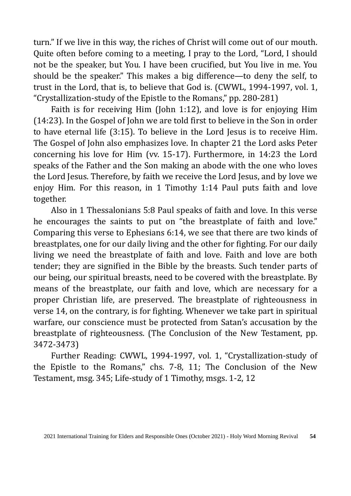turn." If we live in this way, the riches of Christ will come out of our mouth. Quite often before coming to a meeting, I pray to the Lord, "Lord, I should not be the speaker, but You. I have been crucified, but You live in me. You should be the speaker." This makes a big difference—to deny the self, to trust in the Lord, that is, to believe that God is. (CWWL, 1994-1997, vol. 1, "Crystallization-study of the Epistle to the Romans," pp. 280-281)

Faith is for receiving Him (John 1:12), and love is for enjoying Him (14:23). In the Gospel of John we are told first to believe in the Son in order to have eternal life (3:15). To believe in the Lord Jesus is to receive Him. The Gospel of John also emphasizes love. In chapter 21 the Lord asks Peter concerning his love for Him (vv. 15-17). Furthermore, in 14:23 the Lord speaks of the Father and the Son making an abode with the one who loves the Lord Jesus. Therefore, by faith we receive the Lord Jesus, and by love we enjoy Him. For this reason, in 1 Timothy 1:14 Paul puts faith and love together.

Also in 1 Thessalonians 5:8 Paul speaks of faith and love. In this verse he encourages the saints to put on "the breastplate of faith and love." Comparing this verse to Ephesians 6:14, we see that there are two kinds of breastplates, one for our daily living and the other for fighting. For our daily living we need the breastplate of faith and love. Faith and love are both tender; they are signified in the Bible by the breasts. Such tender parts of our being, our spiritual breasts, need to be covered with the breastplate. By means of the breastplate, our faith and love, which are necessary for a proper Christian life, are preserved. The breastplate of righteousness in verse 14, on the contrary, is for fighting. Whenever we take part in spiritual warfare, our conscience must be protected from Satan's accusation by the breastplate of righteousness. (The Conclusion of the New Testament, pp. 3472-3473)

Further Reading: CWWL, 1994-1997, vol. 1, "Crystallization-study of the Epistle to the Romans," chs. 7-8, 11; The Conclusion of the New Testament, msg. 345; Life-study of 1 Timothy, msgs. 1-2, 12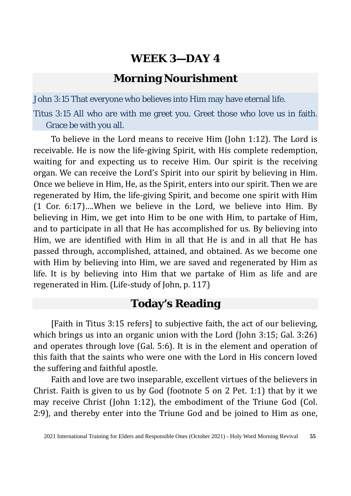### **Morning Nourishment**

John 3:15 That everyone who believes into Him may have eternal life.

Titus 3:15 All who are with me greet you. Greet those who love us in faith. Grace be with you all.

To believe in the Lord means to receive Him (John 1:12). The Lord is receivable. He is now the life-giving Spirit, with His complete redemption, waiting for and expecting us to receive Him. Our spirit is the receiving organ. We can receive the Lord's Spirit into our spirit by believing in Him. Once we believe in Him, He, as the Spirit, enters into our spirit. Then we are regenerated by Him, the life-giving Spirit, and become one spirit with Him (1 Cor. 6:17)….When we believe in the Lord, we believe into Him. By believing in Him, we get into Him to be one with Him, to partake of Him, and to participate in all that He has accomplished for us. By believing into Him, we are identified with Him in all that He is and in all that He has passed through, accomplished, attained, and obtained. As we become one with Him by believing into Him, we are saved and regenerated by Him as life. It is by believing into Him that we partake of Him as life and are regenerated in Him. (Life-study of John, p. 117)

### **Today's Reading**

[Faith in Titus 3:15 refers] to subjective faith, the act of our believing, which brings us into an organic union with the Lord (John 3:15; Gal. 3:26) and operates through love (Gal. 5:6). It is in the element and operation of this faith that the saints who were one with the Lord in His concern loved the suffering and faithful apostle.

Faith and love are two inseparable, excellent virtues of the believers in Christ. Faith is given to us by God (footnote 5 on 2 Pet. 1:1) that by it we may receive Christ (John 1:12), the embodiment of the Triune God (Col. 2:9), and thereby enter into the Triune God and be joined to Him as one,

<sup>2021</sup> International Training for Elders and Responsible Ones (October 2021) - Holy Word Morning Revival **55**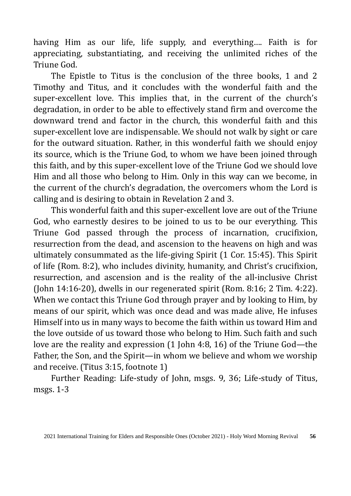having Him as our life, life supply, and everything…. Faith is for appreciating, substantiating, and receiving the unlimited riches of the Triune God.

The Epistle to Titus is the conclusion of the three books, 1 and 2 Timothy and Titus, and it concludes with the wonderful faith and the super-excellent love. This implies that, in the current of the church's degradation, in order to be able to effectively stand firm and overcome the downward trend and factor in the church, this wonderful faith and this super-excellent love are indispensable. We should not walk by sight or care for the outward situation. Rather, in this wonderful faith we should enjoy its source, which is the Triune God, to whom we have been joined through this faith, and by this super-excellent love of the Triune God we should love Him and all those who belong to Him. Only in this way can we become, in the current of the church's degradation, the overcomers whom the Lord is calling and is desiring to obtain in Revelation 2 and 3.

This wonderful faith and this super-excellent love are out of the Triune God, who earnestly desires to be joined to us to be our everything. This Triune God passed through the process of incarnation, crucifixion, resurrection from the dead, and ascension to the heavens on high and was ultimately consummated as the life-giving Spirit (1 Cor. 15:45). This Spirit of life (Rom. 8:2), who includes divinity, humanity, and Christ's crucifixion, resurrection, and ascension and is the reality of the all-inclusive Christ (John 14:16-20), dwells in our regenerated spirit (Rom. 8:16; 2 Tim. 4:22). When we contact this Triune God through prayer and by looking to Him, by means of our spirit, which was once dead and was made alive, He infuses Himself into us in many ways to become the faith within us toward Him and the love outside of us toward those who belong to Him. Such faith and such love are the reality and expression (1 John 4:8, 16) of the Triune God—the Father, the Son, and the Spirit—in whom we believe and whom we worship and receive. (Titus 3:15, footnote 1)

Further Reading: Life-study of John, msgs. 9, 36; Life-study of Titus, msgs. 1-3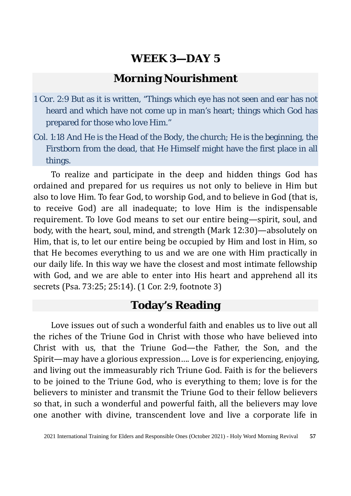### **Morning Nourishment**

- 1 Cor. 2:9 But as it is written, "Things which eye has not seen and ear has not heard and which have not come up in man's heart; things which God has prepared for those who love Him."
- Col. 1:18 And He is the Head of the Body, the church; He is the beginning, the Firstborn from the dead, that He Himself might have the first place in all things.

To realize and participate in the deep and hidden things God has ordained and prepared for us requires us not only to believe in Him but also to love Him. To fear God, to worship God, and to believe in God (that is, to receive God) are all inadequate; to love Him is the indispensable requirement. To love God means to set our entire being—spirit, soul, and body, with the heart, soul, mind, and strength (Mark 12:30)—absolutely on Him, that is, to let our entire being be occupied by Him and lost in Him, so that He becomes everything to us and we are one with Him practically in our daily life. In this way we have the closest and most intimate fellowship with God, and we are able to enter into His heart and apprehend all its secrets (Psa. 73:25; 25:14). (1 Cor. 2:9, footnote 3)

### **Today's Reading**

Love issues out of such a wonderful faith and enables us to live out all the riches of the Triune God in Christ with those who have believed into Christ with us, that the Triune God—the Father, the Son, and the Spirit—may have a glorious expression…. Love is for experiencing, enjoying, and living out the immeasurably rich Triune God. Faith is for the believers to be joined to the Triune God, who is everything to them; love is for the believers to minister and transmit the Triune God to their fellow believers so that, in such a wonderful and powerful faith, all the believers may love one another with divine, transcendent love and live a corporate life in

<sup>2021</sup> International Training for Elders and Responsible Ones (October 2021) - Holy Word Morning Revival **57**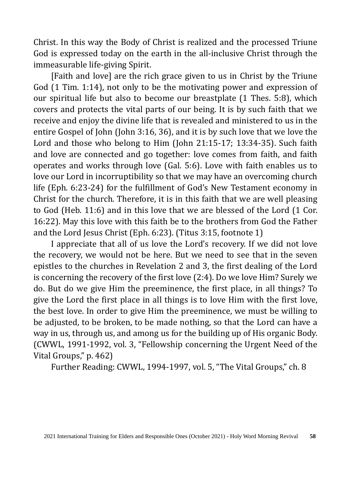Christ. In this way the Body of Christ is realized and the processed Triune God is expressed today on the earth in the all-inclusive Christ through the immeasurable life-giving Spirit.

[Faith and love] are the rich grace given to us in Christ by the Triune God (1 Tim. 1:14), not only to be the motivating power and expression of our spiritual life but also to become our breastplate (1 Thes. 5:8), which covers and protects the vital parts of our being. It is by such faith that we receive and enjoy the divine life that is revealed and ministered to us in the entire Gospel of John (John 3:16, 36), and it is by such love that we love the Lord and those who belong to Him (John 21:15-17; 13:34-35). Such faith and love are connected and go together: love comes from faith, and faith operates and works through love (Gal. 5:6). Love with faith enables us to love our Lord in incorruptibility so that we may have an overcoming church life (Eph. 6:23-24) for the fulfillment of God's New Testament economy in Christ for the church. Therefore, it is in this faith that we are well pleasing to God (Heb. 11:6) and in this love that we are blessed of the Lord (1 Cor. 16:22). May this love with this faith be to the brothers from God the Father and the Lord Jesus Christ (Eph. 6:23). (Titus 3:15, footnote 1)

I appreciate that all of us love the Lord's recovery. If we did not love the recovery, we would not be here. But we need to see that in the seven epistles to the churches in Revelation 2 and 3, the first dealing of the Lord is concerning the recovery of the first love (2:4). Do we love Him? Surely we do. But do we give Him the preeminence, the first place, in all things? To give the Lord the first place in all things is to love Him with the first love, the best love. In order to give Him the preeminence, we must be willing to be adjusted, to be broken, to be made nothing, so that the Lord can have a way in us, through us, and among us for the building up of His organic Body. (CWWL, 1991-1992, vol. 3, "Fellowship concerning the Urgent Need of the Vital Groups," p. 462)

Further Reading: CWWL, 1994-1997, vol. 5, "The Vital Groups," ch. 8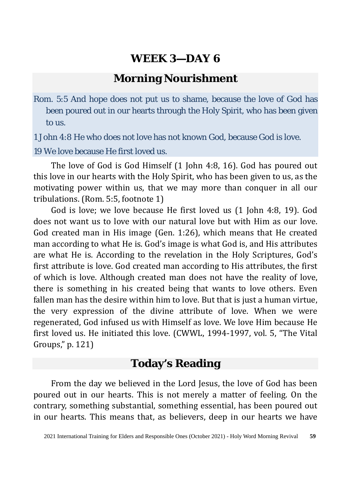### **Morning Nourishment**

Rom. 5:5 And hope does not put us to shame, because the love of God has been poured out in our hearts through the Holy Spirit, who has been given to us.

1 John 4:8 He who does not love has not known God, because God is love.

19 We love because He first loved us.

The love of God is God Himself (1 John 4:8, 16). God has poured out this love in our hearts with the Holy Spirit, who has been given to us, as the motivating power within us, that we may more than conquer in all our tribulations. (Rom. 5:5, footnote 1)

God is love; we love because He first loved us (1 John 4:8, 19). God does not want us to love with our natural love but with Him as our love. God created man in His image (Gen. 1:26), which means that He created man according to what He is. God's image is what God is, and His attributes are what He is. According to the revelation in the Holy Scriptures, God's first attribute is love. God created man according to His attributes, the first of which is love. Although created man does not have the reality of love, there is something in his created being that wants to love others. Even fallen man has the desire within him to love. But that is just a human virtue, the very expression of the divine attribute of love. When we were regenerated, God infused us with Himself as love. We love Him because He first loved us. He initiated this love. (CWWL, 1994-1997, vol. 5, "The Vital Groups," p. 121)

### **Today's Reading**

From the day we believed in the Lord Jesus, the love of God has been poured out in our hearts. This is not merely a matter of feeling. On the contrary, something substantial, something essential, has been poured out in our hearts. This means that, as believers, deep in our hearts we have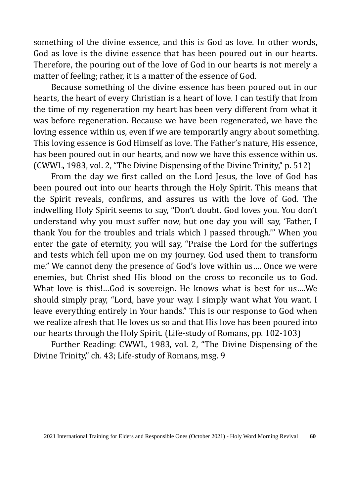something of the divine essence, and this is God as love. In other words, God as love is the divine essence that has been poured out in our hearts. Therefore, the pouring out of the love of God in our hearts is not merely a matter of feeling; rather, it is a matter of the essence of God.

Because something of the divine essence has been poured out in our hearts, the heart of every Christian is a heart of love. I can testify that from the time of my regeneration my heart has been very different from what it was before regeneration. Because we have been regenerated, we have the loving essence within us, even if we are temporarily angry about something. This loving essence is God Himself as love. The Father's nature, His essence, has been poured out in our hearts, and now we have this essence within us. (CWWL, 1983, vol. 2, "The Divine Dispensing of the Divine Trinity," p. 512)

From the day we first called on the Lord Jesus, the love of God has been poured out into our hearts through the Holy Spirit. This means that the Spirit reveals, confirms, and assures us with the love of God. The indwelling Holy Spirit seems to say, "Don't doubt. God loves you. You don't understand why you must suffer now, but one day you will say, 'Father, I thank You for the troubles and trials which I passed through.'" When you enter the gate of eternity, you will say, "Praise the Lord for the sufferings and tests which fell upon me on my journey. God used them to transform me." We cannot deny the presence of God's love within us…. Once we were enemies, but Christ shed His blood on the cross to reconcile us to God. What love is this!…God is sovereign. He knows what is best for us….We should simply pray, "Lord, have your way. I simply want what You want. I leave everything entirely in Your hands." This is our response to God when we realize afresh that He loves us so and that His love has been poured into our hearts through the Holy Spirit. (Life-study of Romans, pp. 102-103)

Further Reading: CWWL, 1983, vol. 2, "The Divine Dispensing of the Divine Trinity," ch. 43; Life-study of Romans, msg. 9